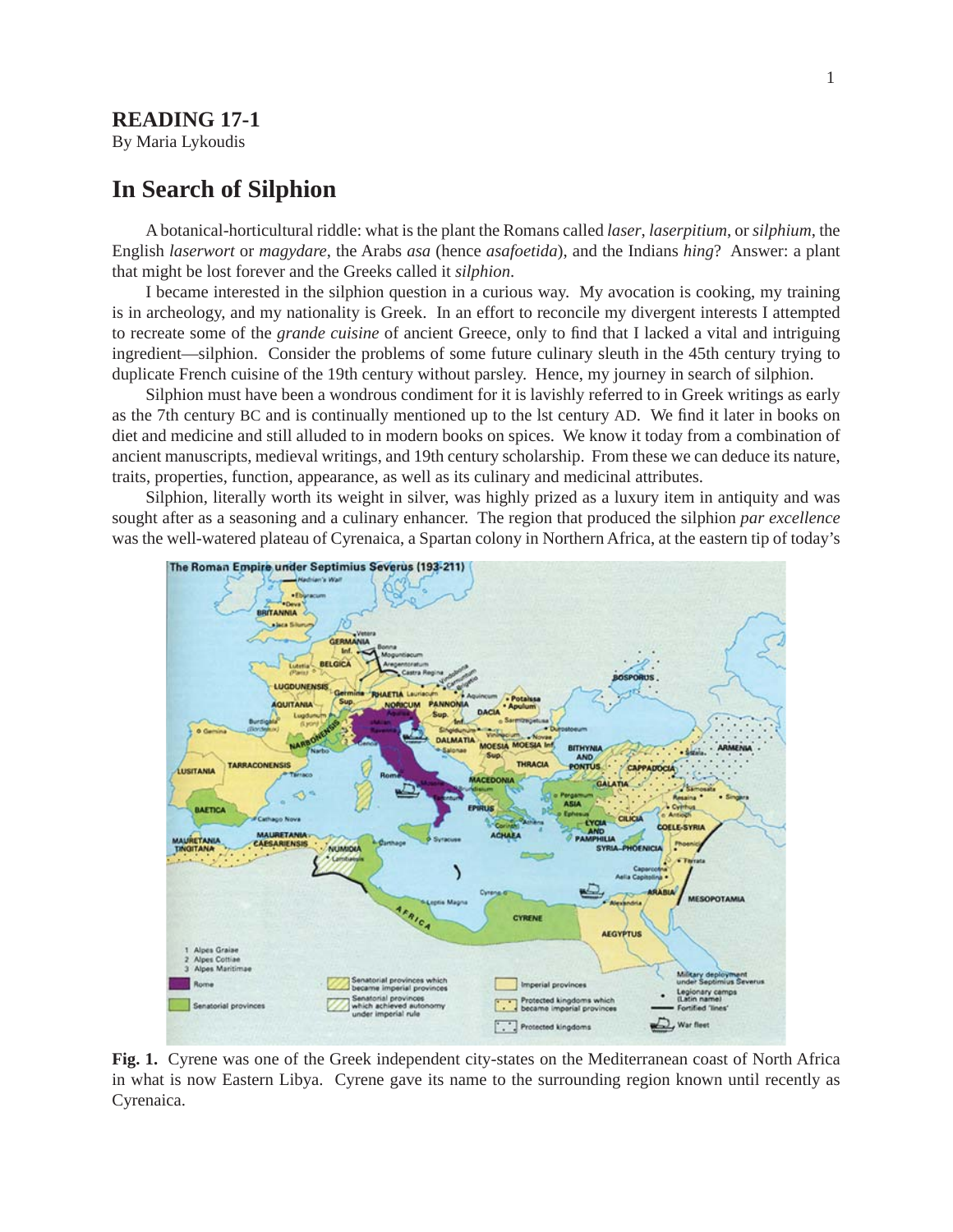## **READING 17-1**

By Maria Lykoudis

# **In Search of Silphion**

A botanical-horticultural riddle: what is the plant the Romans called *laser*, *laserpitium*, or *silphium*, the English *laserwort* or *magydare*, the Arabs *asa* (hence *asafoetida*), and the Indians *hing*? Answer: a plant that might be lost forever and the Greeks called it *silphion*.

I became interested in the silphion question in a curious way. My avocation is cooking, my training is in archeology, and my nationality is Greek. In an effort to reconcile my divergent interests I attempted to recreate some of the *grande cuisine* of ancient Greece, only to find that I lacked a vital and intriguing ingredient—silphion. Consider the problems of some future culinary sleuth in the 45th century trying to duplicate French cuisine of the 19th century without parsley. Hence, my journey in search of silphion.

Silphion must have been a wondrous condiment for it is lavishly referred to in Greek writings as early as the 7th century BC and is continually mentioned up to the lst century AD. We find it later in books on diet and medicine and still alluded to in modern books on spices. We know it today from a combination of ancient manuscripts, medieval writings, and 19th century scholarship. From these we can deduce its nature, traits, properties, function, appearance, as well as its culinary and medicinal attributes.

Silphion, literally worth its weight in silver, was highly prized as a luxury item in antiquity and was sought after as a seasoning and a culinary enhancer. The region that produced the silphion *par excellence* was the well-watered plateau of Cyrenaica, a Spartan colony in Northern Africa, at the eastern tip of today's



**Fig. 1.** Cyrene was one of the Greek independent city-states on the Mediterranean coast of North Africa in what is now Eastern Libya. Cyrene gave its name to the surrounding region known until recently as Cyrenaica.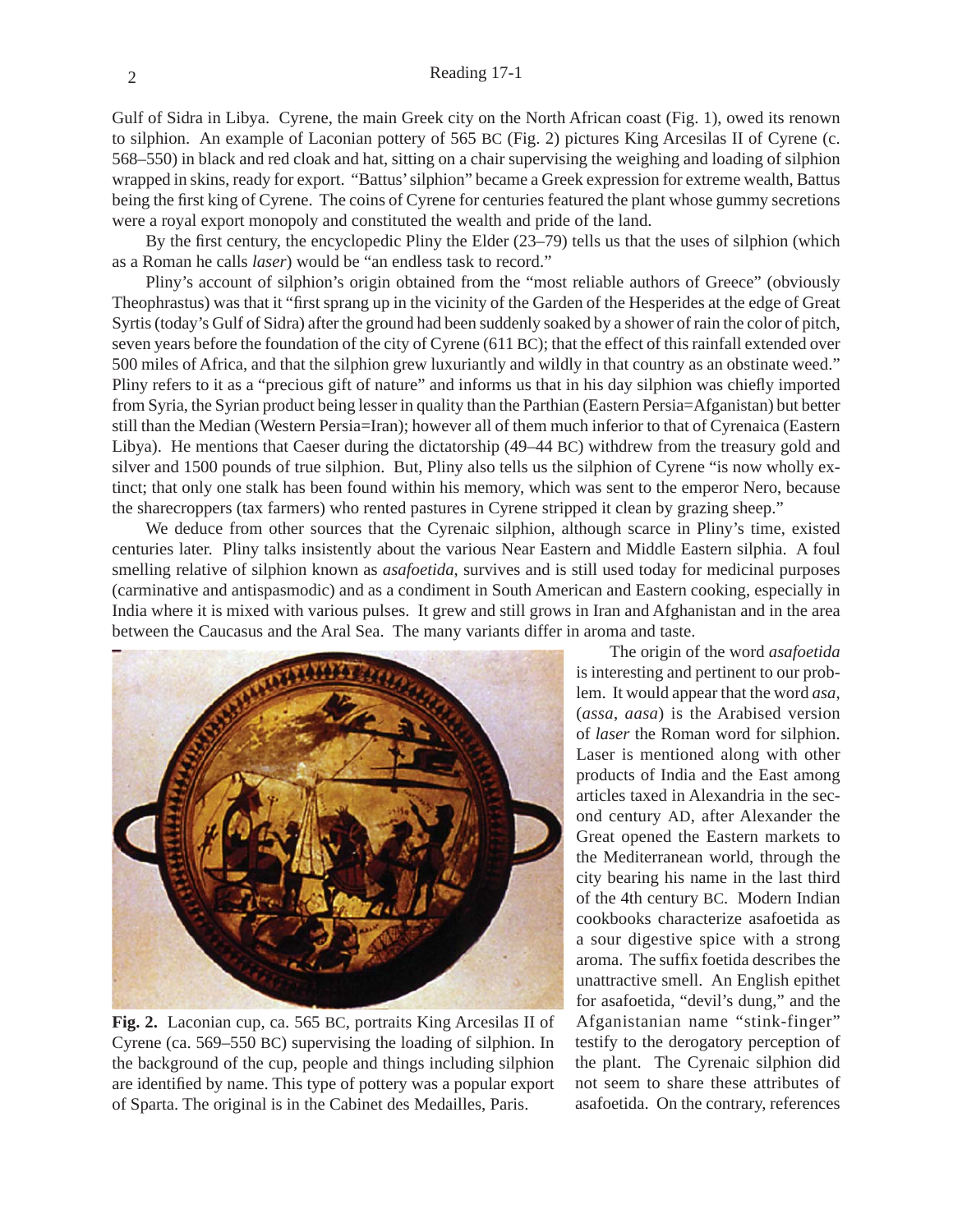Gulf of Sidra in Libya. Cyrene, the main Greek city on the North African coast (Fig. 1), owed its renown to silphion. An example of Laconian pottery of 565 BC (Fig. 2) pictures King Arcesilas II of Cyrene (c. 568–550) in black and red cloak and hat, sitting on a chair supervising the weighing and loading of silphion wrapped in skins, ready for export. "Battus' silphion" became a Greek expression for extreme wealth, Battus being the first king of Cyrene. The coins of Cyrene for centuries featured the plant whose gummy secretions were a royal export monopoly and constituted the wealth and pride of the land.

By the first century, the encyclopedic Pliny the Elder  $(23-79)$  tells us that the uses of silphion (which as a Roman he calls *laser*) would be "an endless task to record."

Pliny's account of silphion's origin obtained from the "most reliable authors of Greece" (obviously Theophrastus) was that it "first sprang up in the vicinity of the Garden of the Hesperides at the edge of Great Syrtis (today's Gulf of Sidra) after the ground had been suddenly soaked by a shower of rain the color of pitch, seven years before the foundation of the city of Cyrene (611 BC); that the effect of this rainfall extended over 500 miles of Africa, and that the silphion grew luxuriantly and wildly in that country as an obstinate weed." Pliny refers to it as a "precious gift of nature" and informs us that in his day silphion was chiefly imported from Syria, the Syrian product being lesser in quality than the Parthian (Eastern Persia=Afganistan) but better still than the Median (Western Persia=Iran); however all of them much inferior to that of Cyrenaica (Eastern Libya). He mentions that Caeser during the dictatorship (49–44 BC) withdrew from the treasury gold and silver and 1500 pounds of true silphion. But, Pliny also tells us the silphion of Cyrene "is now wholly extinct; that only one stalk has been found within his memory, which was sent to the emperor Nero, because the sharecroppers (tax farmers) who rented pastures in Cyrene stripped it clean by grazing sheep."

We deduce from other sources that the Cyrenaic silphion, although scarce in Pliny's time, existed centuries later. Pliny talks insistently about the various Near Eastern and Middle Eastern silphia. A foul smelling relative of silphion known as *asafoetida*, survives and is still used today for medicinal purposes (carminative and antispasmodic) and as a condiment in South American and Eastern cooking, especially in India where it is mixed with various pulses. It grew and still grows in Iran and Afghanistan and in the area between the Caucasus and the Aral Sea. The many variants differ in aroma and taste.



**Fig. 2.** Laconian cup, ca. 565 BC, portraits King Arcesilas II of Cyrene (ca. 569–550 BC) supervising the loading of silphion. In the background of the cup, people and things including silphion are identified by name. This type of pottery was a popular export of Sparta. The original is in the Cabinet des Medailles, Paris.

The origin of the word *asafoetida* is interesting and pertinent to our problem. It would appear that the word *asa*, (*assa*, *aasa*) is the Arabised version of *laser* the Roman word for silphion. Laser is mentioned along with other products of India and the East among articles taxed in Alexandria in the second century AD, after Alexander the Great opened the Eastern markets to the Mediterranean world, through the city bearing his name in the last third of the 4th century BC. Modern Indian cookbooks characterize asafoetida as a sour digestive spice with a strong aroma. The suffix foetida describes the unattractive smell. An English epithet for asafoetida, "devil's dung," and the Afganistanian name "stink-finger" testify to the derogatory perception of the plant. The Cyrenaic silphion did not seem to share these attributes of asafoetida. On the contrary, references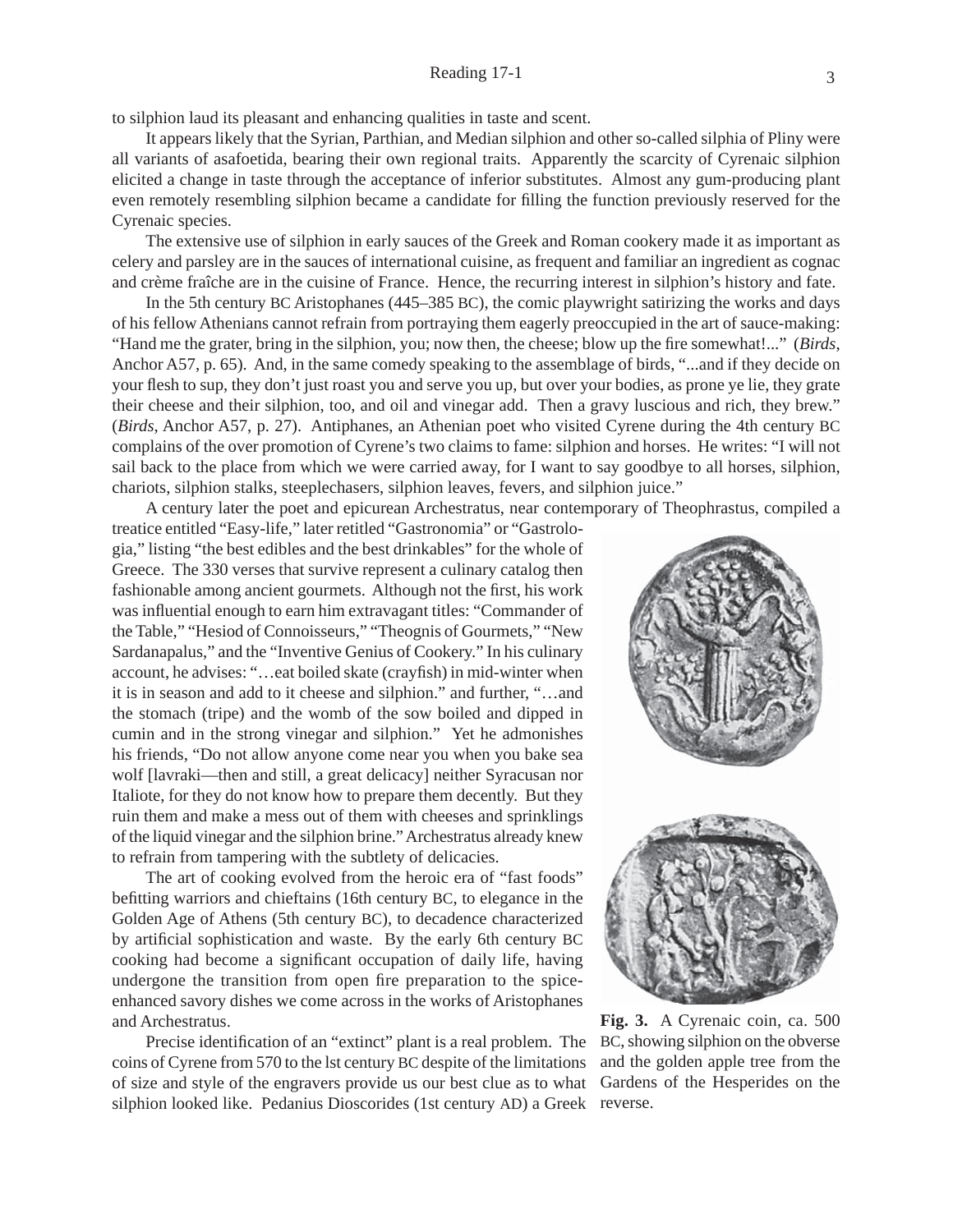to silphion laud its pleasant and enhancing qualities in taste and scent.

It appears likely that the Syrian, Parthian, and Median silphion and other so-called silphia of Pliny were all variants of asafoetida, bearing their own regional traits. Apparently the scarcity of Cyrenaic silphion elicited a change in taste through the acceptance of inferior substitutes. Almost any gum-producing plant even remotely resembling silphion became a candidate for filling the function previously reserved for the Cyrenaic species.

The extensive use of silphion in early sauces of the Greek and Roman cookery made it as important as celery and parsley are in the sauces of international cuisine, as frequent and familiar an ingredient as cognac and crème fraîche are in the cuisine of France. Hence, the recurring interest in silphion's history and fate.

In the 5th century BC Aristophanes (445–385 BC), the comic playwright satirizing the works and days of his fellow Athenians cannot refrain from portraying them eagerly preoccupied in the art of sauce-making: "Hand me the grater, bring in the silphion, you; now then, the cheese; blow up the fire somewhat!..." (*Birds*, Anchor A57, p. 65). And, in the same comedy speaking to the assemblage of birds, "...and if they decide on your flesh to sup, they don't just roast you and serve you up, but over your bodies, as prone ye lie, they grate their cheese and their silphion, too, and oil and vinegar add. Then a gravy luscious and rich, they brew." (*Birds*, Anchor A57, p. 27). Antiphanes, an Athenian poet who visited Cyrene during the 4th century BC complains of the over promotion of Cyrene's two claims to fame: silphion and horses. He writes: "I will not sail back to the place from which we were carried away, for I want to say goodbye to all horses, silphion, chariots, silphion stalks, steeplechasers, silphion leaves, fevers, and silphion juice."

A century later the poet and epicurean Archestratus, near contemporary of Theophrastus, compiled a

treatice entitled "Easy-life," later retitled "Gastronomia" or "Gastrologia," listing "the best edibles and the best drinkables" for the whole of Greece. The 330 verses that survive represent a culinary catalog then fashionable among ancient gourmets. Although not the first, his work was influential enough to earn him extravagant titles: "Commander of the Table," "Hesiod of Connoisseurs," "Theognis of Gourmets," "New Sardanapalus," and the "Inventive Genius of Cookery." In his culinary account, he advises: "...eat boiled skate (crayfish) in mid-winter when it is in season and add to it cheese and silphion." and further, "…and the stomach (tripe) and the womb of the sow boiled and dipped in cumin and in the strong vinegar and silphion." Yet he admonishes his friends, "Do not allow anyone come near you when you bake sea wolf [lavraki—then and still, a great delicacy] neither Syracusan nor Italiote, for they do not know how to prepare them decently. But they ruin them and make a mess out of them with cheeses and sprinklings of the liquid vinegar and the silphion brine." Archestratus already knew to refrain from tampering with the subtlety of delicacies.

The art of cooking evolved from the heroic era of "fast foods" befitting warriors and chieftains (16th century BC, to elegance in the Golden Age of Athens (5th century BC), to decadence characterized by artificial sophistication and waste. By the early 6th century BC cooking had become a significant occupation of daily life, having undergone the transition from open fire preparation to the spiceenhanced savory dishes we come across in the works of Aristophanes and Archestratus.

Precise identification of an "extinct" plant is a real problem. The coins of Cyrene from 570 to the lst century BC despite of the limitations of size and style of the engravers provide us our best clue as to what silphion looked like. Pedanius Dioscorides (1st century AD) a Greek reverse.



**Fig. 3.** A Cyrenaic coin, ca. 500 BC, showing silphion on the obverse and the golden apple tree from the Gardens of the Hesperides on the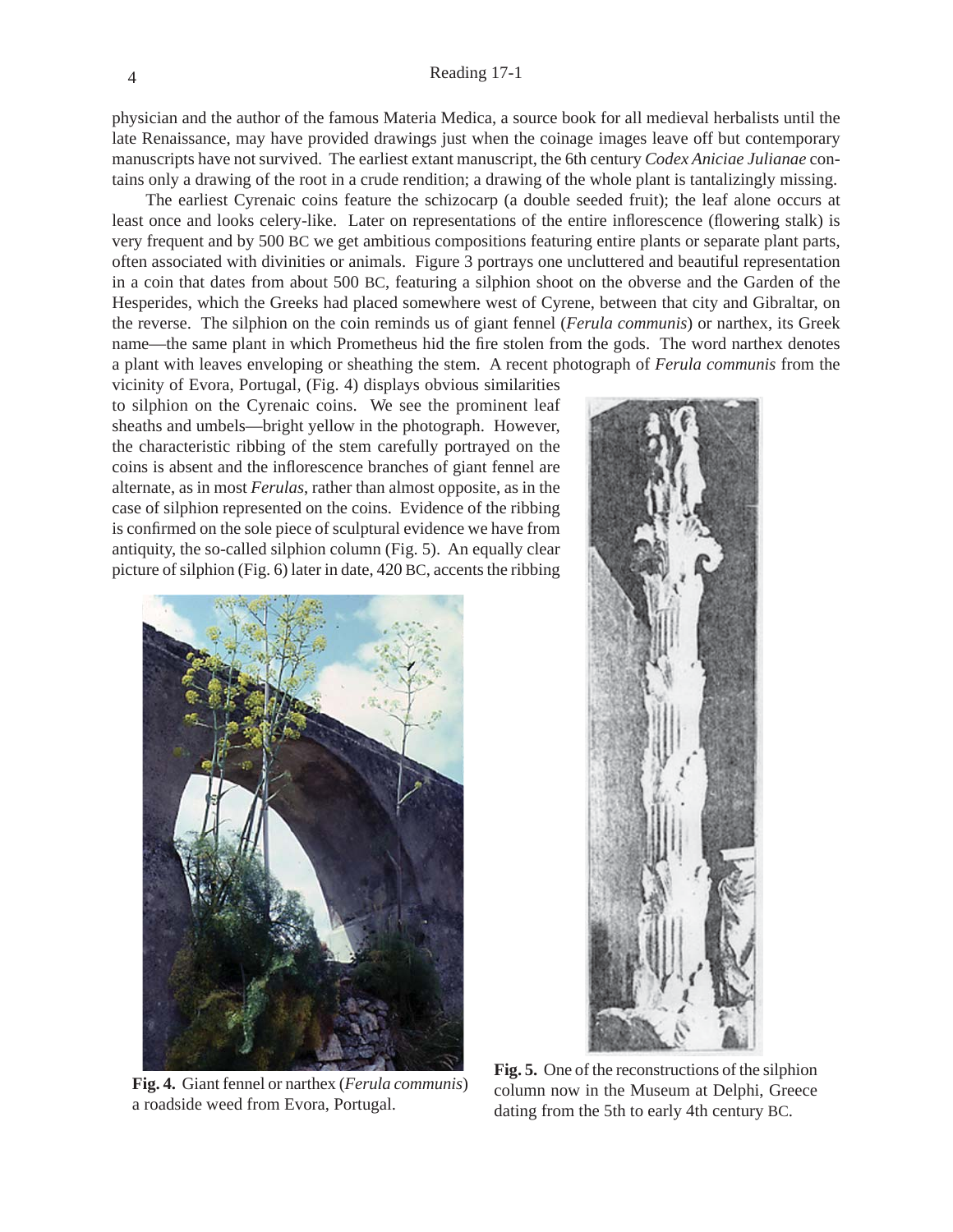physician and the author of the famous Materia Medica, a source book for all medieval herbalists until the late Renaissance, may have provided drawings just when the coinage images leave off but contemporary manuscripts have not survived. The earliest extant manuscript, the 6th century *Codex Aniciae Julianae* contains only a drawing of the root in a crude rendition; a drawing of the whole plant is tantalizingly missing.

The earliest Cyrenaic coins feature the schizocarp (a double seeded fruit); the leaf alone occurs at least once and looks celery-like. Later on representations of the entire inflorescence (flowering stalk) is very frequent and by 500 BC we get ambitious compositions featuring entire plants or separate plant parts, often associated with divinities or animals. Figure 3 portrays one uncluttered and beautiful representation in a coin that dates from about 500 BC, featuring a silphion shoot on the obverse and the Garden of the Hesperides, which the Greeks had placed somewhere west of Cyrene, between that city and Gibraltar, on the reverse. The silphion on the coin reminds us of giant fennel (*Ferula communis*) or narthex, its Greek name—the same plant in which Prometheus hid the fire stolen from the gods. The word narthex denotes a plant with leaves enveloping or sheathing the stem. A recent photograph of *Ferula communis* from the

vicinity of Evora, Portugal, (Fig. 4) displays obvious similarities to silphion on the Cyrenaic coins. We see the prominent leaf sheaths and umbels—bright yellow in the photograph. However, the characteristic ribbing of the stem carefully portrayed on the coins is absent and the inflorescence branches of giant fennel are alternate, as in most *Ferulas*, rather than almost opposite, as in the case of silphion represented on the coins. Evidence of the ribbing is confirmed on the sole piece of sculptural evidence we have from antiquity, the so-called silphion column (Fig. 5). An equally clear picture of silphion (Fig. 6) later in date, 420 BC, accents the ribbing



**Fig. 4.** Giant fennel or narthex (*Ferula communis*) a roadside weed from Evora, Portugal.



**Fig. 5.** One of the reconstructions of the silphion column now in the Museum at Delphi, Greece dating from the 5th to early 4th century BC.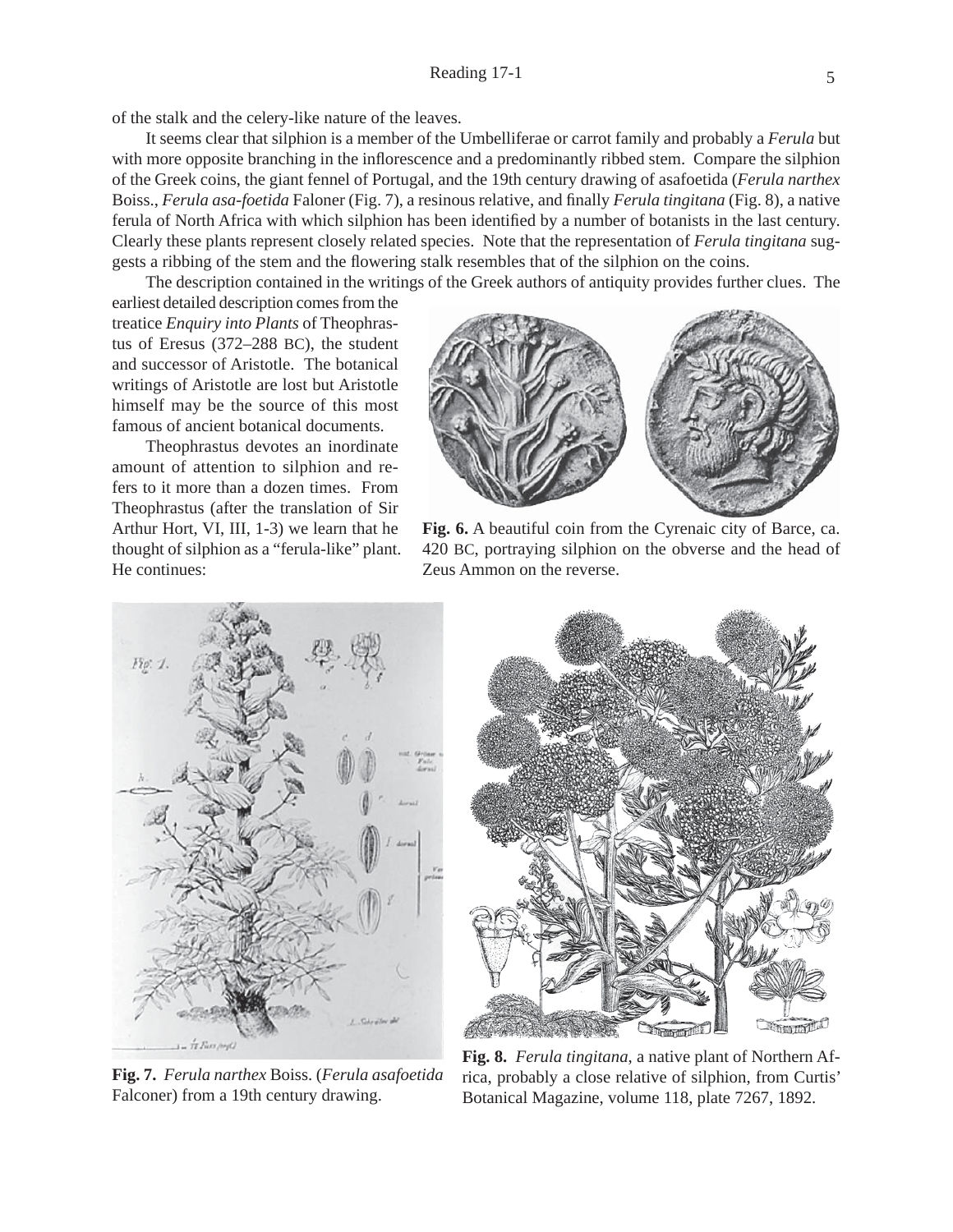of the stalk and the celery-like nature of the leaves.

It seems clear that silphion is a member of the Umbelliferae or carrot family and probably a *Ferula* but with more opposite branching in the inflorescence and a predominantly ribbed stem. Compare the silphion of the Greek coins, the giant fennel of Portugal, and the 19th century drawing of asafoetida (*Ferula narthex* Boiss., *Ferula asa-foetida* Faloner (Fig. 7), a resinous relative, and finally *Ferula tingitana* (Fig. 8), a native ferula of North Africa with which silphion has been identified by a number of botanists in the last century. Clearly these plants represent closely related species. Note that the representation of *Ferula tingitana* suggests a ribbing of the stem and the flowering stalk resembles that of the silphion on the coins.

The description contained in the writings of the Greek authors of antiquity provides further clues. The

earliest detailed description comes from the treatice *Enquiry into Plants* of Theophrastus of Eresus (372–288 BC), the student and successor of Aristotle. The botanical writings of Aristotle are lost but Aristotle himself may be the source of this most famous of ancient botanical documents.

Theophrastus devotes an inordinate amount of attention to silphion and refers to it more than a dozen times. From Theophrastus (after the translation of Sir Arthur Hort, VI, III, 1-3) we learn that he thought of silphion as a "ferula-like" plant. He continues:



**Fig. 6.** A beautiful coin from the Cyrenaic city of Barce, ca. 420 BC, portraying silphion on the obverse and the head of Zeus Ammon on the reverse.



**Fig. 7.** *Ferula narthex* Boiss. (*Ferula asafoetida* Falconer) from a 19th century drawing.



**Fig. 8.** *Ferula tingitana*, a native plant of Northern Africa, probably a close relative of silphion, from Curtis' Botanical Magazine, volume 118, plate 7267, 1892.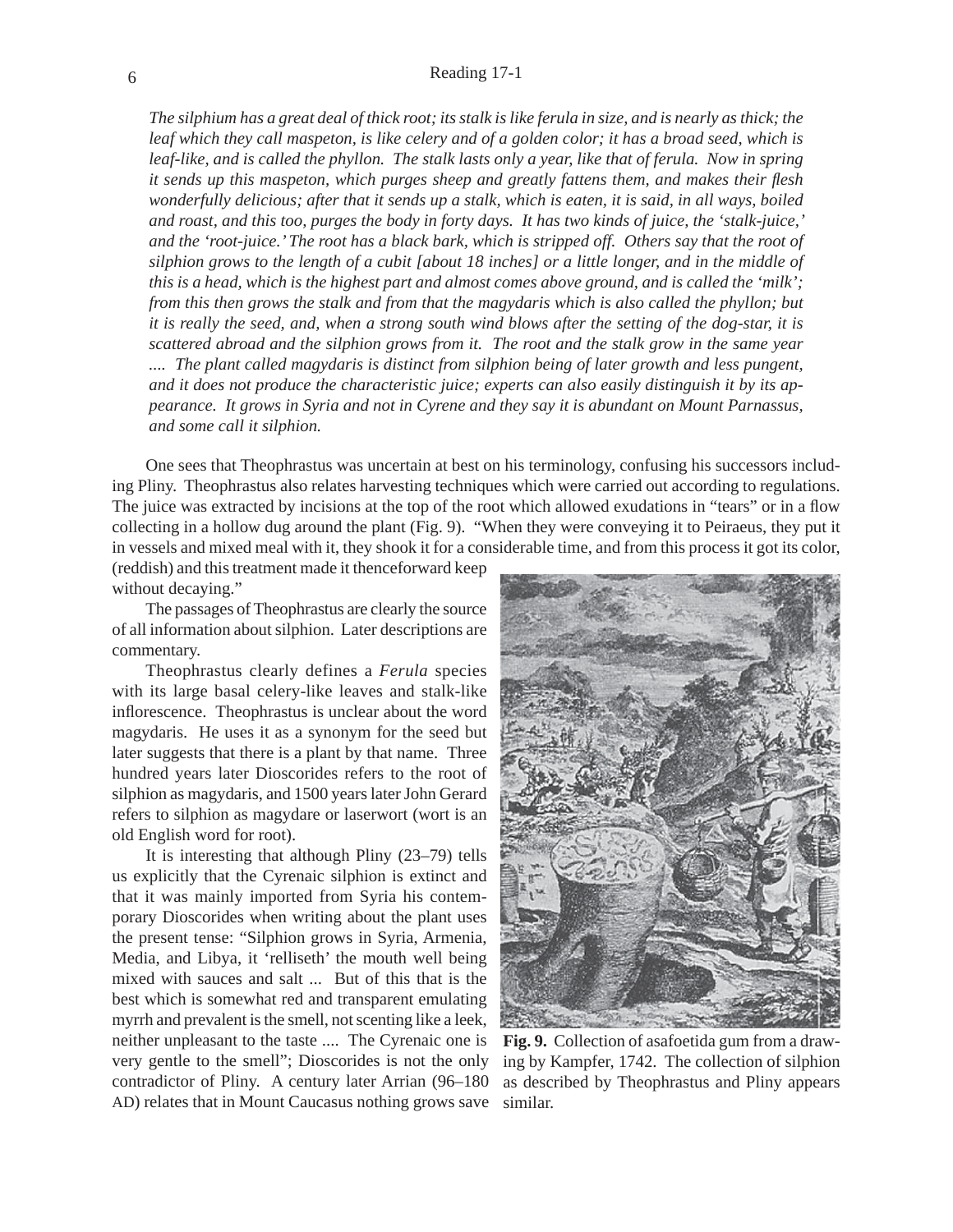*The silphium has a great deal of thick root; its stalk is like ferula in size, and is nearly as thick; the*  leaf which they call maspeton, is like celery and of a golden color; it has a broad seed, which is leaf-like, and is called the phyllon. The stalk lasts only a year, like that of ferula. Now in spring *it sends up this maspeton, which purges sheep and greatly fattens them, and makes their flesh wonderfully delicious; after that it sends up a stalk, which is eaten, it is said, in all ways, boiled and roast, and this too, purges the body in forty days. It has two kinds of juice, the 'stalk-juice,' and the 'root-juice.' The root has a black bark, which is stripped off. Others say that the root of silphion grows to the length of a cubit [about 18 inches] or a little longer, and in the middle of this is a head, which is the highest part and almost comes above ground, and is called the 'milk'; from this then grows the stalk and from that the magydaris which is also called the phyllon; but it is really the seed, and, when a strong south wind blows after the setting of the dog-star, it is scattered abroad and the silphion grows from it. The root and the stalk grow in the same year .... The plant called magydaris is distinct from silphion being of later growth and less pungent, and it does not produce the characteristic juice; experts can also easily distinguish it by its appearance. It grows in Syria and not in Cyrene and they say it is abundant on Mount Parnassus, and some call it silphion.*

One sees that Theophrastus was uncertain at best on his terminology, confusing his successors including Pliny. Theophrastus also relates harvesting techniques which were carried out according to regulations. The juice was extracted by incisions at the top of the root which allowed exudations in "tears" or in a flow collecting in a hollow dug around the plant (Fig. 9). "When they were conveying it to Peiraeus, they put it in vessels and mixed meal with it, they shook it for a considerable time, and from this process it got its color,

(reddish) and this treatment made it thenceforward keep without decaying."

The passages of Theophrastus are clearly the source of all information about silphion. Later descriptions are commentary.

Theophrastus clearly defines a *Ferula* species with its large basal celery-like leaves and stalk-like inflorescence. Theophrastus is unclear about the word magydaris. He uses it as a synonym for the seed but later suggests that there is a plant by that name. Three hundred years later Dioscorides refers to the root of silphion as magydaris, and 1500 years later John Gerard refers to silphion as magydare or laserwort (wort is an old English word for root).

It is interesting that although Pliny (23–79) tells us explicitly that the Cyrenaic silphion is extinct and that it was mainly imported from Syria his contemporary Dioscorides when writing about the plant uses the present tense: "Silphion grows in Syria, Armenia, Media, and Libya, it 'relliseth' the mouth well being mixed with sauces and salt ... But of this that is the best which is somewhat red and transparent emulating myrrh and prevalent is the smell, not scenting like a leek, neither unpleasant to the taste .... The Cyrenaic one is very gentle to the smell"; Dioscorides is not the only contradictor of Pliny. A century later Arrian (96–180 AD) relates that in Mount Caucasus nothing grows save



**Fig. 9.** Collection of asafoetida gum from a drawing by Kampfer, 1742. The collection of silphion as described by Theophrastus and Pliny appears similar.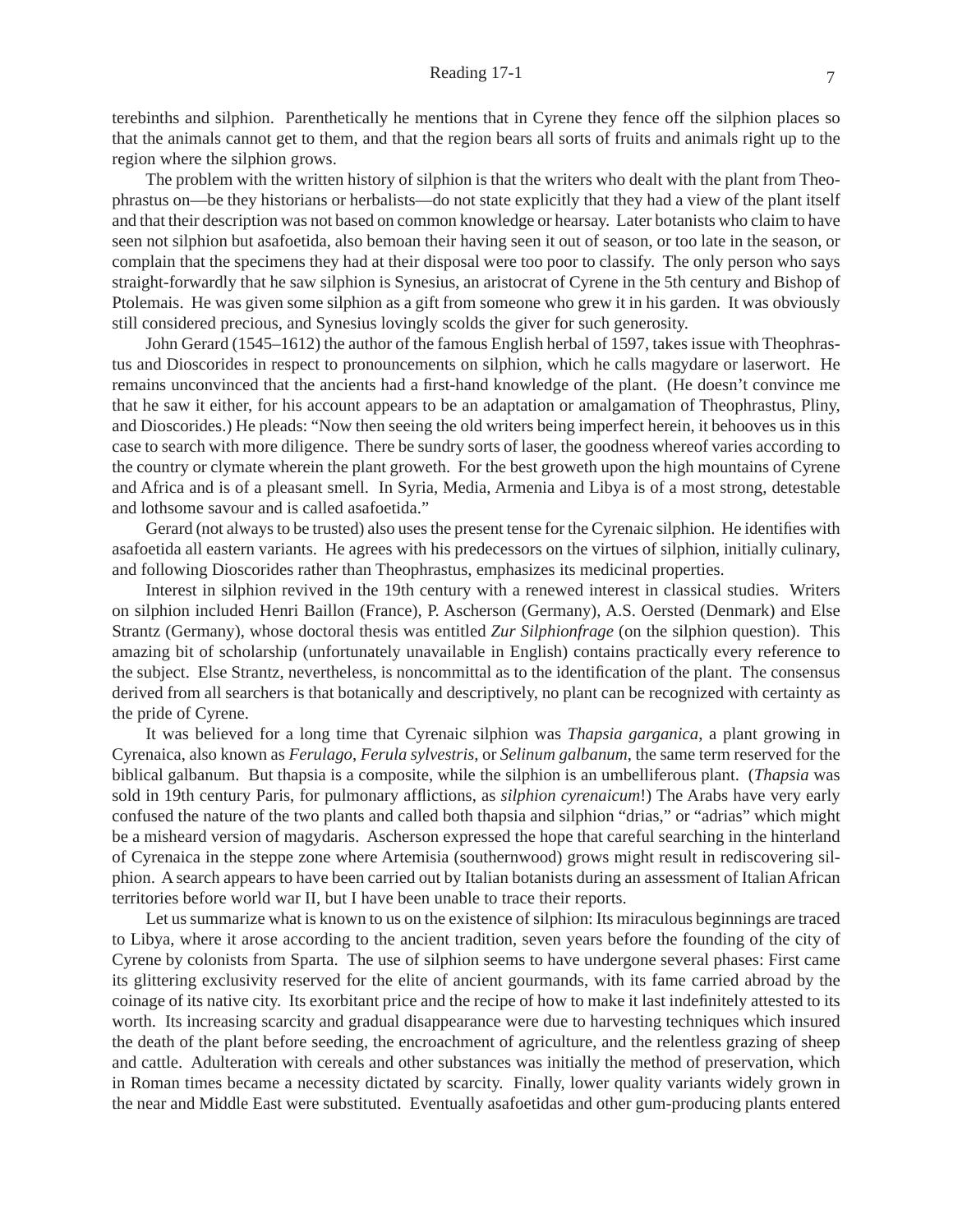terebinths and silphion. Parenthetically he mentions that in Cyrene they fence off the silphion places so that the animals cannot get to them, and that the region bears all sorts of fruits and animals right up to the region where the silphion grows.

The problem with the written history of silphion is that the writers who dealt with the plant from Theophrastus on—be they historians or herbalists—do not state explicitly that they had a view of the plant itself and that their description was not based on common knowledge or hearsay. Later botanists who claim to have seen not silphion but asafoetida, also bemoan their having seen it out of season, or too late in the season, or complain that the specimens they had at their disposal were too poor to classify. The only person who says straight-forwardly that he saw silphion is Synesius, an aristocrat of Cyrene in the 5th century and Bishop of Ptolemais. He was given some silphion as a gift from someone who grew it in his garden. It was obviously still considered precious, and Synesius lovingly scolds the giver for such generosity.

John Gerard (1545–1612) the author of the famous English herbal of 1597, takes issue with Theophrastus and Dioscorides in respect to pronouncements on silphion, which he calls magydare or laserwort. He remains unconvinced that the ancients had a first-hand knowledge of the plant. (He doesn't convince me that he saw it either, for his account appears to be an adaptation or amalgamation of Theophrastus, Pliny, and Dioscorides.) He pleads: "Now then seeing the old writers being imperfect herein, it behooves us in this case to search with more diligence. There be sundry sorts of laser, the goodness whereof varies according to the country or clymate wherein the plant groweth. For the best groweth upon the high mountains of Cyrene and Africa and is of a pleasant smell. In Syria, Media, Armenia and Libya is of a most strong, detestable and lothsome savour and is called asafoetida."

Gerard (not always to be trusted) also uses the present tense for the Cyrenaic silphion. He identifies with asafoetida all eastern variants. He agrees with his predecessors on the virtues of silphion, initially culinary, and following Dioscorides rather than Theophrastus, emphasizes its medicinal properties.

Interest in silphion revived in the 19th century with a renewed interest in classical studies. Writers on silphion included Henri Baillon (France), P. Ascherson (Germany), A.S. Oersted (Denmark) and Else Strantz (Germany), whose doctoral thesis was entitled *Zur Silphionfrage* (on the silphion question). This amazing bit of scholarship (unfortunately unavailable in English) contains practically every reference to the subject. Else Strantz, nevertheless, is noncommittal as to the identification of the plant. The consensus derived from all searchers is that botanically and descriptively, no plant can be recognized with certainty as the pride of Cyrene.

It was believed for a long time that Cyrenaic silphion was *Thapsia garganica*, a plant growing in Cyrenaica, also known as *Ferulago*, *Ferula sylvestris*, or *Selinum galbanum*, the same term reserved for the biblical galbanum. But thapsia is a composite, while the silphion is an umbelliferous plant. (*Thapsia* was sold in 19th century Paris, for pulmonary afflictions, as *silphion cyrenaicum*!) The Arabs have very early confused the nature of the two plants and called both thapsia and silphion "drias," or "adrias" which might be a misheard version of magydaris. Ascherson expressed the hope that careful searching in the hinterland of Cyrenaica in the steppe zone where Artemisia (southernwood) grows might result in rediscovering silphion. A search appears to have been carried out by Italian botanists during an assessment of Italian African territories before world war II, but I have been unable to trace their reports.

Let us summarize what is known to us on the existence of silphion: Its miraculous beginnings are traced to Libya, where it arose according to the ancient tradition, seven years before the founding of the city of Cyrene by colonists from Sparta. The use of silphion seems to have undergone several phases: First came its glittering exclusivity reserved for the elite of ancient gourmands, with its fame carried abroad by the coinage of its native city. Its exorbitant price and the recipe of how to make it last indefinitely attested to its worth. Its increasing scarcity and gradual disappearance were due to harvesting techniques which insured the death of the plant before seeding, the encroachment of agriculture, and the relentless grazing of sheep and cattle. Adulteration with cereals and other substances was initially the method of preservation, which in Roman times became a necessity dictated by scarcity. Finally, lower quality variants widely grown in the near and Middle East were substituted. Eventually asafoetidas and other gum-producing plants entered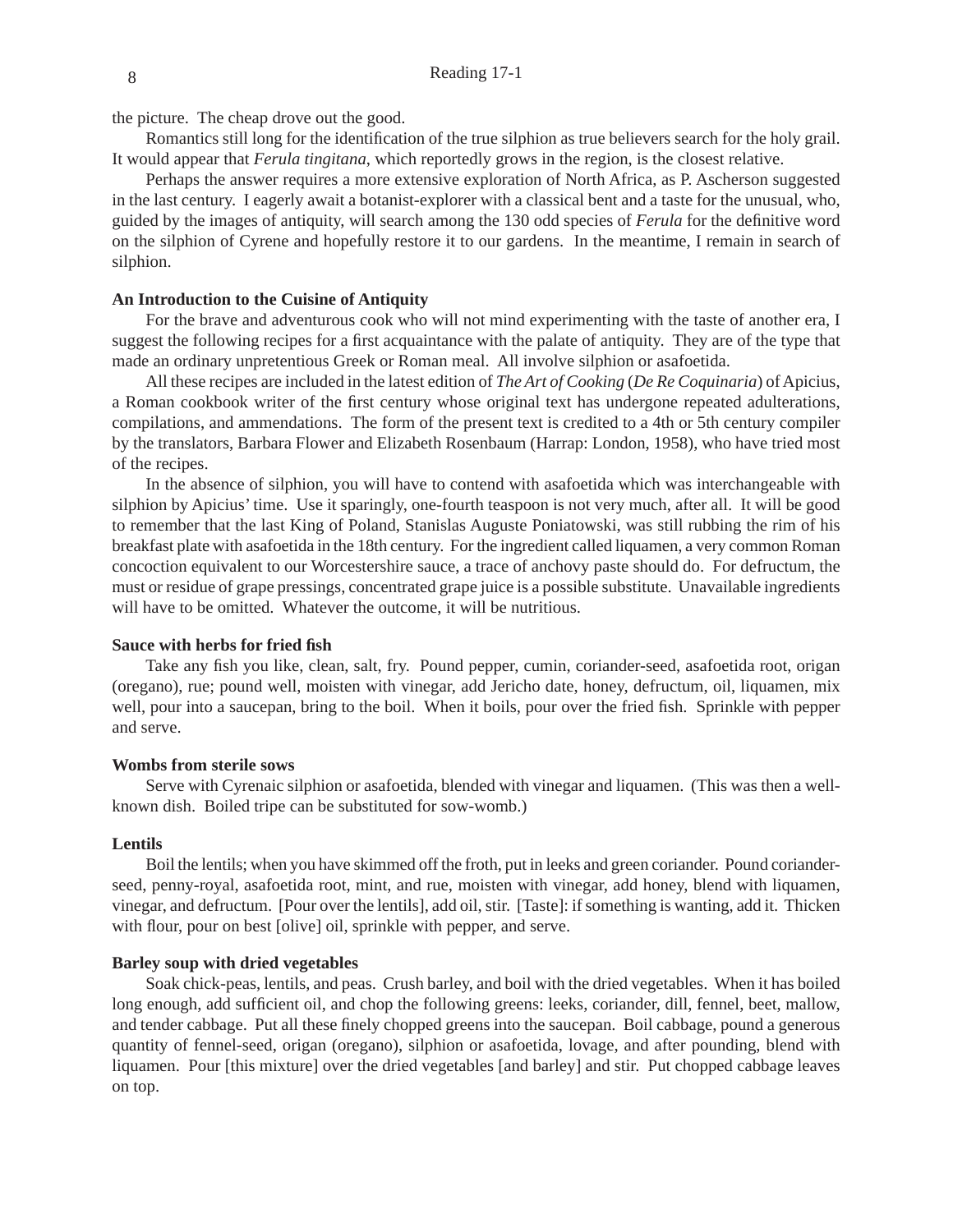the picture. The cheap drove out the good.

Romantics still long for the identification of the true silphion as true believers search for the holy grail. It would appear that *Ferula tingitana*, which reportedly grows in the region, is the closest relative.

Perhaps the answer requires a more extensive exploration of North Africa, as P. Ascherson suggested in the last century. I eagerly await a botanist-explorer with a classical bent and a taste for the unusual, who, guided by the images of antiquity, will search among the 130 odd species of *Ferula* for the definitive word on the silphion of Cyrene and hopefully restore it to our gardens. In the meantime, I remain in search of silphion.

#### **An Introduction to the Cuisine of Antiquity**

For the brave and adventurous cook who will not mind experimenting with the taste of another era, I suggest the following recipes for a first acquaintance with the palate of antiquity. They are of the type that made an ordinary unpretentious Greek or Roman meal. All involve silphion or asafoetida.

All these recipes are included in the latest edition of *The Art of Cooking* (*De Re Coquinaria*) of Apicius, a Roman cookbook writer of the first century whose original text has undergone repeated adulterations, compilations, and ammendations. The form of the present text is credited to a 4th or 5th century compiler by the translators, Barbara Flower and Elizabeth Rosenbaum (Harrap: London, 1958), who have tried most of the recipes.

In the absence of silphion, you will have to contend with asafoetida which was interchangeable with silphion by Apicius' time. Use it sparingly, one-fourth teaspoon is not very much, after all. It will be good to remember that the last King of Poland, Stanislas Auguste Poniatowski, was still rubbing the rim of his breakfast plate with asafoetida in the 18th century. For the ingredient called liquamen, a very common Roman concoction equivalent to our Worcestershire sauce, a trace of anchovy paste should do. For defructum, the must or residue of grape pressings, concentrated grape juice is a possible substitute. Unavailable ingredients will have to be omitted. Whatever the outcome, it will be nutritious.

#### **Sauce with herbs for fried fi sh**

Take any fish you like, clean, salt, fry. Pound pepper, cumin, coriander-seed, asafoetida root, origan (oregano), rue; pound well, moisten with vinegar, add Jericho date, honey, defructum, oil, liquamen, mix well, pour into a saucepan, bring to the boil. When it boils, pour over the fried fish. Sprinkle with pepper and serve.

#### **Wombs from sterile sows**

Serve with Cyrenaic silphion or asafoetida, blended with vinegar and liquamen. (This was then a wellknown dish. Boiled tripe can be substituted for sow-womb.)

#### **Lentils**

Boil the lentils; when you have skimmed off the froth, put in leeks and green coriander. Pound corianderseed, penny-royal, asafoetida root, mint, and rue, moisten with vinegar, add honey, blend with liquamen, vinegar, and defructum. [Pour over the lentils], add oil, stir. [Taste]: if something is wanting, add it. Thicken with flour, pour on best [olive] oil, sprinkle with pepper, and serve.

#### **Barley soup with dried vegetables**

Soak chick-peas, lentils, and peas. Crush barley, and boil with the dried vegetables. When it has boiled long enough, add sufficient oil, and chop the following greens: leeks, coriander, dill, fennel, beet, mallow, and tender cabbage. Put all these finely chopped greens into the saucepan. Boil cabbage, pound a generous quantity of fennel-seed, origan (oregano), silphion or asafoetida, lovage, and after pounding, blend with liquamen. Pour [this mixture] over the dried vegetables [and barley] and stir. Put chopped cabbage leaves on top.